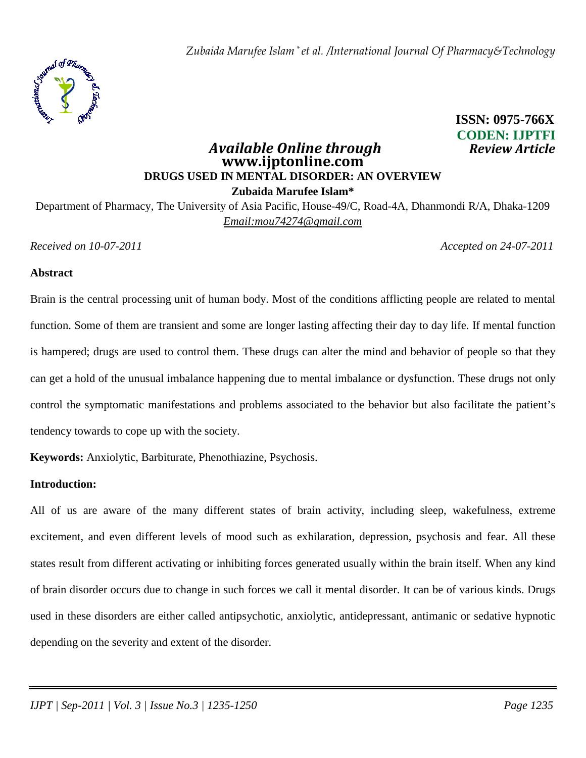

# *<u>Available Online through</u>* **www.ijptonline.com DRUGS USED IN MENTAL DISORDER: AN OVERVIEW Zubaida Marufee Islam\***  Department of Pharmacy, The University of Asia Pacific, House-49/C, Road-4A, Dhanmondi R/A, Dhaka-1209

*Email:mou74274@gmail.com*

**ISSN: 0975-766X CODEN: IJPTFI** 

*Received on 10-07-2011 Accepted on 24-07-2011*

#### **Abstract**

Brain is the central processing unit of human body. Most of the conditions afflicting people are related to mental function. Some of them are transient and some are longer lasting affecting their day to day life. If mental function is hampered; drugs are used to control them. These drugs can alter the mind and behavior of people so that they can get a hold of the unusual imbalance happening due to mental imbalance or dysfunction. These drugs not only control the symptomatic manifestations and problems associated to the behavior but also facilitate the patient's tendency towards to cope up with the society.

**Keywords:** Anxiolytic, Barbiturate, Phenothiazine, Psychosis.

## **Introduction:**

All of us are aware of the many different states of brain activity, including sleep, wakefulness, extreme excitement, and even different levels of mood such as exhilaration, depression, psychosis and fear. All these states result from different activating or inhibiting forces generated usually within the brain itself. When any kind of brain disorder occurs due to change in such forces we call it mental disorder. It can be of various kinds. Drugs used in these disorders are either called antipsychotic, anxiolytic, antidepressant, antimanic or sedative hypnotic depending on the severity and extent of the disorder.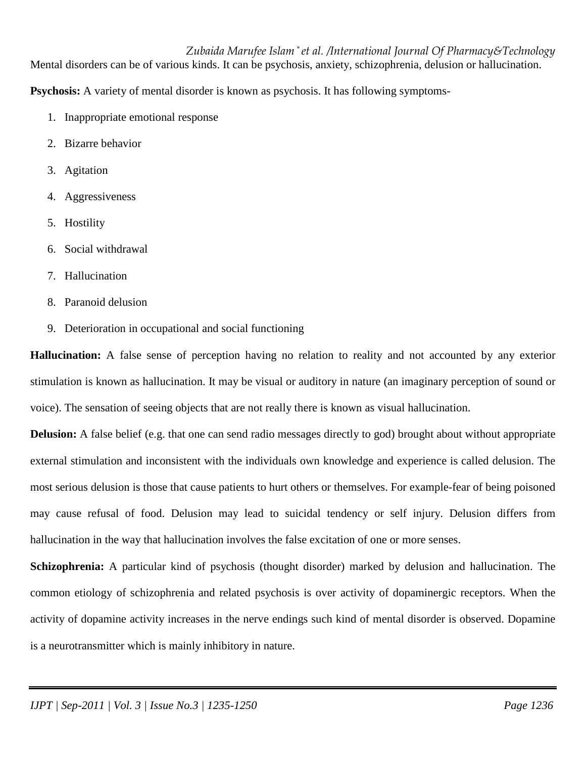Mental disorders can be of various kinds. It can be psychosis, anxiety, schizophrenia, delusion or hallucination.

**Psychosis:** A variety of mental disorder is known as psychosis. It has following symptoms-

- 1. Inappropriate emotional response
- 2. Bizarre behavior
- 3. Agitation
- 4. Aggressiveness
- 5. Hostility
- 6. Social withdrawal
- 7. Hallucination
- 8. Paranoid delusion
- 9. Deterioration in occupational and social functioning

**Hallucination:** A false sense of perception having no relation to reality and not accounted by any exterior stimulation is known as hallucination. It may be visual or auditory in nature (an imaginary perception of sound or voice). The sensation of seeing objects that are not really there is known as visual hallucination.

**Delusion:** A false belief (e.g. that one can send radio messages directly to god) brought about without appropriate external stimulation and inconsistent with the individuals own knowledge and experience is called delusion. The most serious delusion is those that cause patients to hurt others or themselves. For example-fear of being poisoned may cause refusal of food. Delusion may lead to suicidal tendency or self injury. Delusion differs from hallucination in the way that hallucination involves the false excitation of one or more senses.

**Schizophrenia:** A particular kind of psychosis (thought disorder) marked by delusion and hallucination. The common etiology of schizophrenia and related psychosis is over activity of dopaminergic receptors. When the activity of dopamine activity increases in the nerve endings such kind of mental disorder is observed. Dopamine is a neurotransmitter which is mainly inhibitory in nature.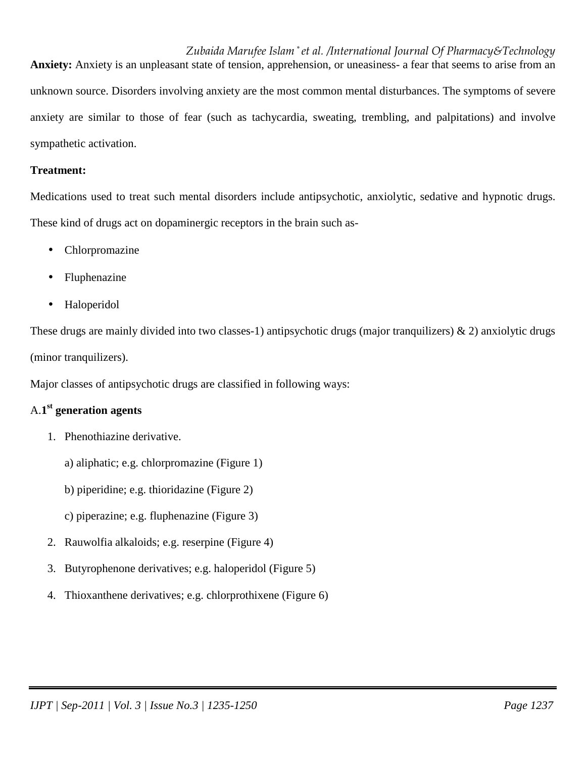*Zubaida Marufee Islam \* et al. /International Journal Of Pharmacy&Technology* **Anxiety:** Anxiety is an unpleasant state of tension, apprehension, or uneasiness- a fear that seems to arise from an unknown source. Disorders involving anxiety are the most common mental disturbances. The symptoms of severe anxiety are similar to those of fear (such as tachycardia, sweating, trembling, and palpitations) and involve sympathetic activation.

## **Treatment:**

Medications used to treat such mental disorders include antipsychotic, anxiolytic, sedative and hypnotic drugs. These kind of drugs act on dopaminergic receptors in the brain such as-

- Chlorpromazine
- Fluphenazine
- Haloperidol

These drugs are mainly divided into two classes-1) antipsychotic drugs (major tranquilizers)  $\&$  2) anxiolytic drugs (minor tranquilizers).

Major classes of antipsychotic drugs are classified in following ways:

# A.**1 st generation agents**

- 1. Phenothiazine derivative.
	- a) aliphatic; e.g. chlorpromazine (Figure 1)
	- b) piperidine; e.g. thioridazine (Figure 2)
	- c) piperazine; e.g. fluphenazine (Figure 3)
- 2. Rauwolfia alkaloids; e.g. reserpine (Figure 4)
- 3. Butyrophenone derivatives; e.g. haloperidol (Figure 5)
- 4. Thioxanthene derivatives; e.g. chlorprothixene (Figure 6)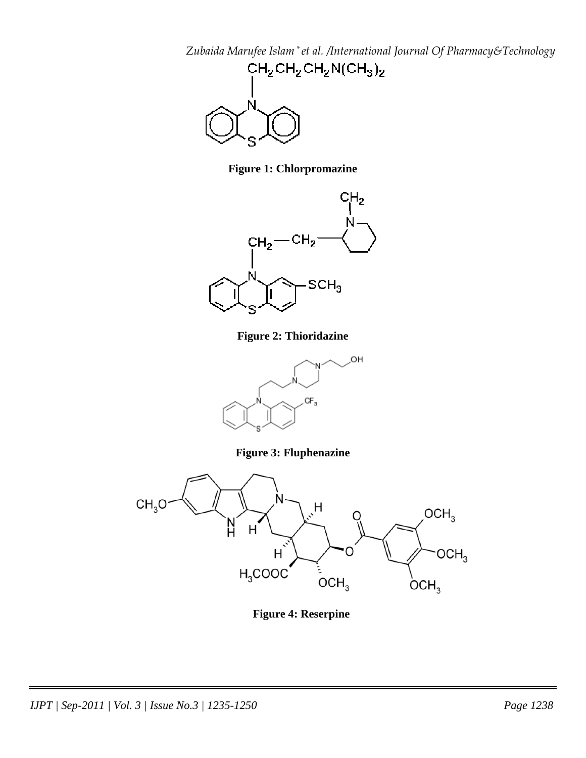

**Figure 1: Chlorpromazine** 



**Figure 2: Thioridazine** 



**Figure 3: Fluphenazine** 



**Figure 4: Reserpine**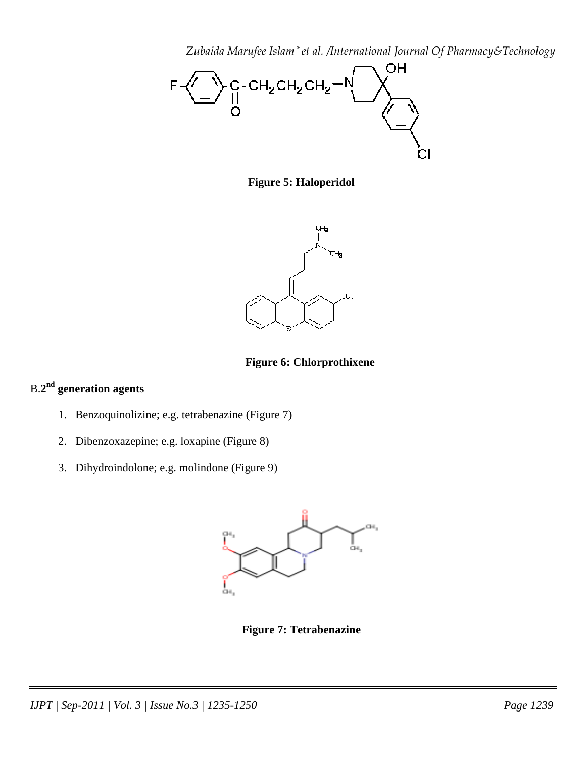

**Figure 5: Haloperidol** 



**Figure 6: Chlorprothixene** 

# B.**2 nd generation agents**

- 1. Benzoquinolizine; e.g. tetrabenazine (Figure 7)
- 2. Dibenzoxazepine; e.g. loxapine (Figure 8)
- 3. Dihydroindolone; e.g. molindone (Figure 9)



**Figure 7: Tetrabenazine**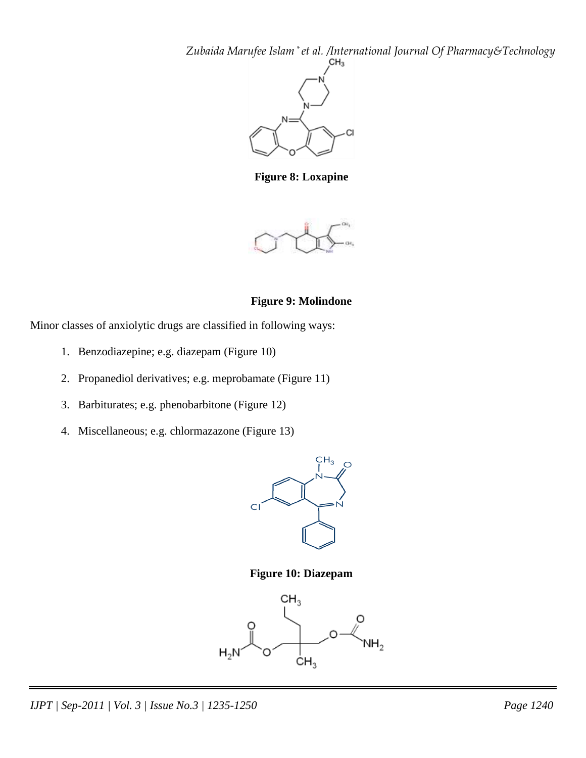

**Figure 8: Loxapine** 



## **Figure 9: Molindone**

Minor classes of anxiolytic drugs are classified in following ways:

- 1. Benzodiazepine; e.g. diazepam (Figure 10)
- 2. Propanediol derivatives; e.g. meprobamate (Figure 11)
- 3. Barbiturates; e.g. phenobarbitone (Figure 12)
- 4. Miscellaneous; e.g. chlormazazone (Figure 13)



**Figure 10: Diazepam** 

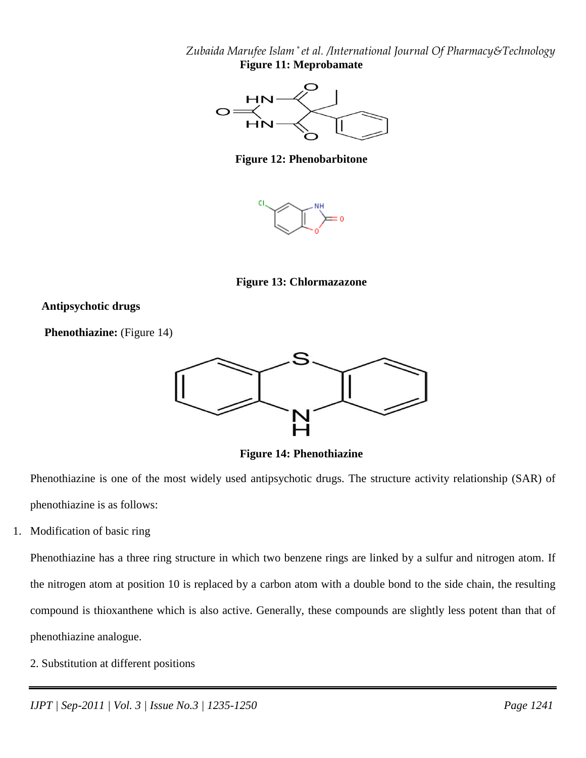*Zubaida Marufee Islam \* et al. /International Journal Of Pharmacy&Technology* **Figure 11: Meprobamate** 



**Figure 12: Phenobarbitone** 



**Figure 13: Chlormazazone** 

## **Antipsychotic drugs**

**Phenothiazine:** (Figure 14)



**Figure 14: Phenothiazine** 

Phenothiazine is one of the most widely used antipsychotic drugs. The structure activity relationship (SAR) of phenothiazine is as follows:

1. Modification of basic ring

Phenothiazine has a three ring structure in which two benzene rings are linked by a sulfur and nitrogen atom. If the nitrogen atom at position 10 is replaced by a carbon atom with a double bond to the side chain, the resulting compound is thioxanthene which is also active. Generally, these compounds are slightly less potent than that of phenothiazine analogue.

2. Substitution at different positions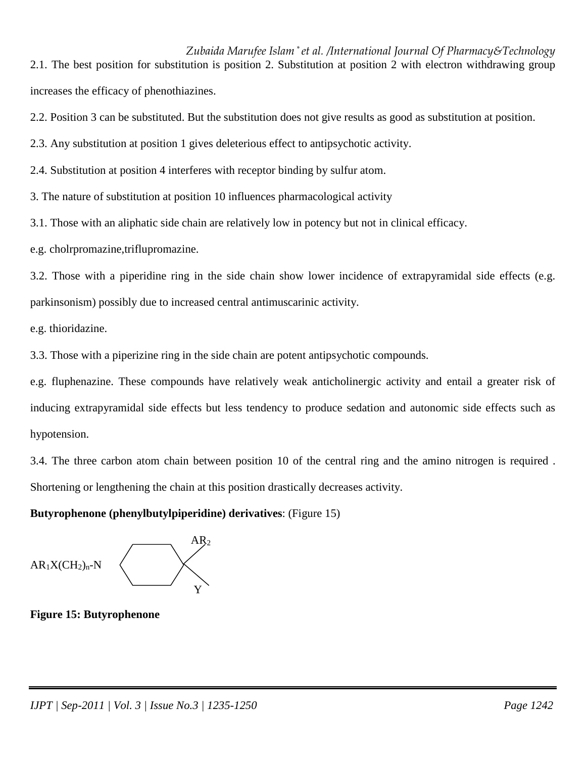*Zubaida Marufee Islam \* et al. /International Journal Of Pharmacy&Technology* 2.1. The best position for substitution is position 2. Substitution at position 2 with electron withdrawing group increases the efficacy of phenothiazines.

2.2. Position 3 can be substituted. But the substitution does not give results as good as substitution at position.

2.3. Any substitution at position 1 gives deleterious effect to antipsychotic activity.

2.4. Substitution at position 4 interferes with receptor binding by sulfur atom.

3. The nature of substitution at position 10 influences pharmacological activity

3.1. Those with an aliphatic side chain are relatively low in potency but not in clinical efficacy.

e.g. cholrpromazine,triflupromazine.

3.2. Those with a piperidine ring in the side chain show lower incidence of extrapyramidal side effects (e.g. parkinsonism) possibly due to increased central antimuscarinic activity.

e.g. thioridazine.

3.3. Those with a piperizine ring in the side chain are potent antipsychotic compounds.

e.g. fluphenazine. These compounds have relatively weak anticholinergic activity and entail a greater risk of inducing extrapyramidal side effects but less tendency to produce sedation and autonomic side effects such as hypotension.

3.4. The three carbon atom chain between position 10 of the central ring and the amino nitrogen is required . Shortening or lengthening the chain at this position drastically decreases activity.

## **Butyrophenone (phenylbutylpiperidine) derivatives**: (Figure 15)

 $\overline{AB_2}$  $AR_1X(CH_2)_n-N$  $\sim$  Y

**Figure 15: Butyrophenone**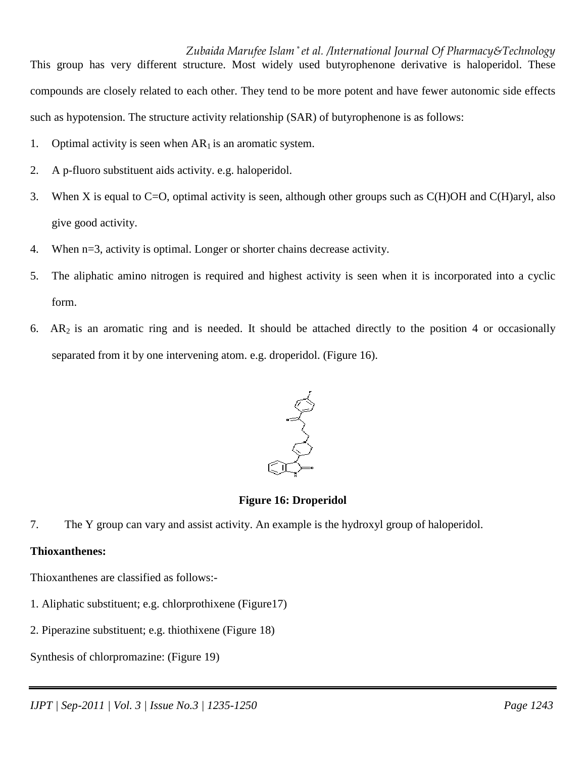*Zubaida Marufee Islam \* et al. /International Journal Of Pharmacy&Technology* This group has very different structure. Most widely used butyrophenone derivative is haloperidol. These compounds are closely related to each other. They tend to be more potent and have fewer autonomic side effects such as hypotension. The structure activity relationship (SAR) of butyrophenone is as follows:

- 1. Optimal activity is seen when  $AR<sub>1</sub>$  is an aromatic system.
- 2. A p-fluoro substituent aids activity. e.g. haloperidol.
- 3. When X is equal to C=O, optimal activity is seen, although other groups such as C(H)OH and C(H)aryl, also give good activity.
- 4. When n=3, activity is optimal. Longer or shorter chains decrease activity.
- 5. The aliphatic amino nitrogen is required and highest activity is seen when it is incorporated into a cyclic form.
- 6.  $AR_2$  is an aromatic ring and is needed. It should be attached directly to the position 4 or occasionally separated from it by one intervening atom. e.g. droperidol. (Figure 16).



**Figure 16: Droperidol** 

7. The Y group can vary and assist activity. An example is the hydroxyl group of haloperidol.

# **Thioxanthenes:**

Thioxanthenes are classified as follows:-

- 1. Aliphatic substituent; e.g. chlorprothixene (Figure17)
- 2. Piperazine substituent; e.g. thiothixene (Figure 18)
- Synthesis of chlorpromazine: (Figure 19)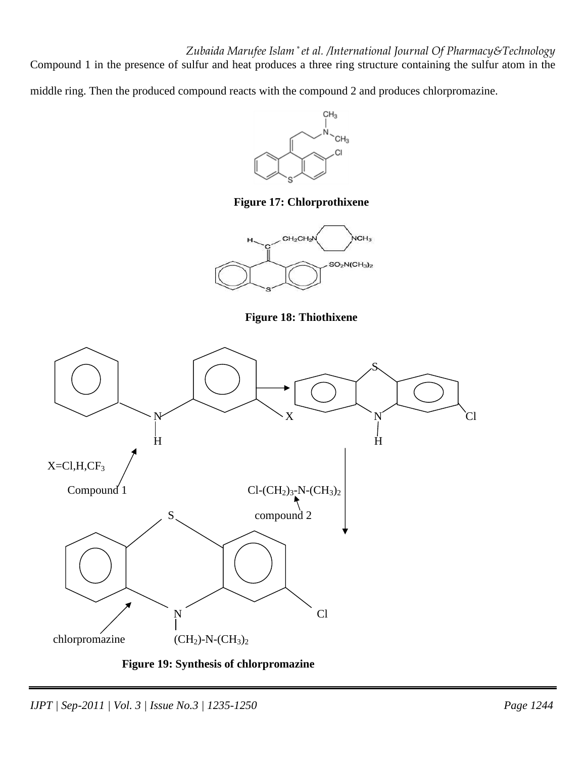*Zubaida Marufee Islam \* et al. /International Journal Of Pharmacy&Technology* Compound 1 in the presence of sulfur and heat produces a three ring structure containing the sulfur atom in the

middle ring. Then the produced compound reacts with the compound 2 and produces chlorpromazine.



**Figure 17: Chlorprothixene** 



**Figure 18: Thiothixene** 



 **Figure 19: Synthesis of chlorpromazine**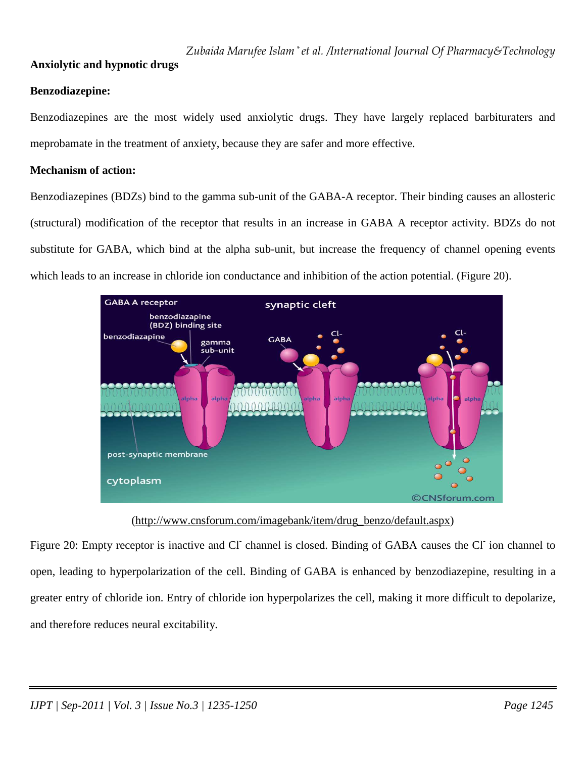## **Anxiolytic and hypnotic drugs**

## **Benzodiazepine:**

Benzodiazepines are the most widely used anxiolytic drugs. They have largely replaced barbituraters and meprobamate in the treatment of anxiety, because they are safer and more effective.

## **Mechanism of action:**

Benzodiazepines (BDZs) bind to the gamma sub-unit of the GABA-A receptor. Their binding causes an allosteric (structural) modification of the receptor that results in an increase in GABA A receptor activity. BDZs do not substitute for GABA, which bind at the alpha sub-unit, but increase the frequency of channel opening events which leads to an increase in chloride ion conductance and inhibition of the action potential. (Figure 20).



## (http://www.cnsforum.com/imagebank/item/drug\_benzo/default.aspx)

Figure 20: Empty receptor is inactive and Cl channel is closed. Binding of GABA causes the Cl ion channel to open, leading to hyperpolarization of the cell. Binding of GABA is enhanced by benzodiazepine, resulting in a greater entry of chloride ion. Entry of chloride ion hyperpolarizes the cell, making it more difficult to depolarize, and therefore reduces neural excitability.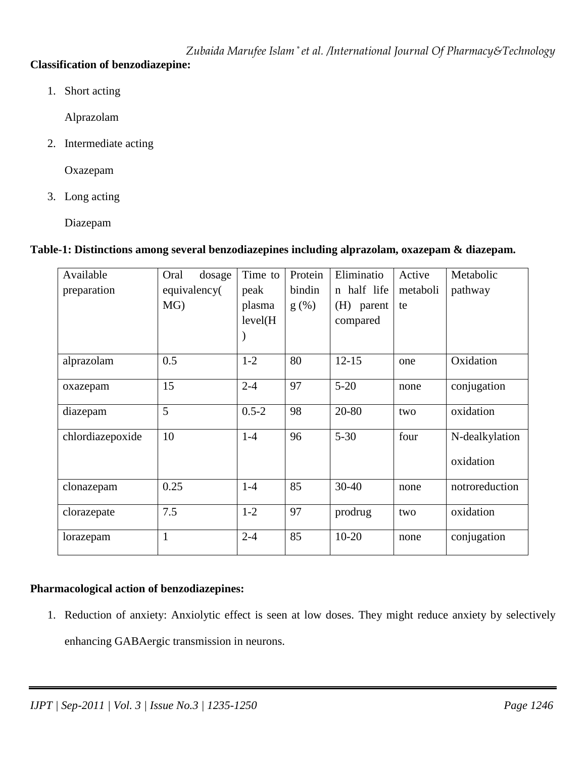# **Classification of benzodiazepine:**

1. Short acting

Alprazolam

2. Intermediate acting

Oxazepam

3. Long acting

Diazepam

# **Table-1: Distinctions among several benzodiazepines including alprazolam, oxazepam & diazepam.**

| Available        | Oral<br>dosage | Time to   | Protein | Eliminatio  | Active   | Metabolic      |
|------------------|----------------|-----------|---------|-------------|----------|----------------|
| preparation      | equivalency(   | peak      | bindin  | n half life | metaboli | pathway        |
|                  | MG)            | plasma    | $g(\%)$ | (H) parent  | te       |                |
|                  |                | level(H)  |         | compared    |          |                |
|                  |                |           |         |             |          |                |
| alprazolam       | 0.5            | $1 - 2$   | 80      | $12 - 15$   | one      | Oxidation      |
| oxazepam         | 15             | $2 - 4$   | 97      | $5 - 20$    | none     | conjugation    |
| diazepam         | 5              | $0.5 - 2$ | 98      | 20-80       | two      | oxidation      |
| chlordiazepoxide | 10             | $1-4$     | 96      | $5 - 30$    | four     | N-dealkylation |
|                  |                |           |         |             |          | oxidation      |
| clonazepam       | 0.25           | $1-4$     | 85      | 30-40       | none     | notroreduction |
| clorazepate      | 7.5            | $1-2$     | 97      | prodrug     | two      | oxidation      |
| lorazepam        | $\mathbf{1}$   | $2 - 4$   | 85      | $10 - 20$   | none     | conjugation    |

## **Pharmacological action of benzodiazepines:**

1. Reduction of anxiety: Anxiolytic effect is seen at low doses. They might reduce anxiety by selectively enhancing GABAergic transmission in neurons.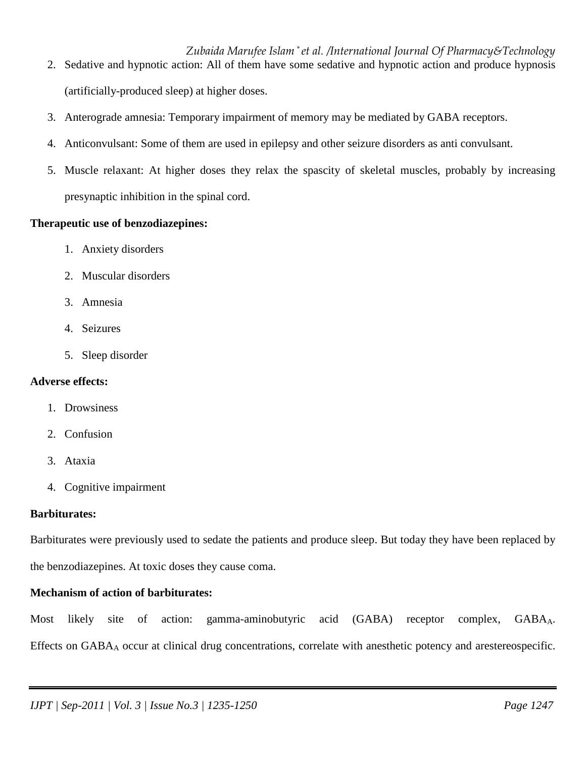- 2. Sedative and hypnotic action: All of them have some sedative and hypnotic action and produce hypnosis (artificially-produced sleep) at higher doses.
- 3. Anterograde amnesia: Temporary impairment of memory may be mediated by GABA receptors.
- 4. Anticonvulsant: Some of them are used in epilepsy and other seizure disorders as anti convulsant.
- 5. Muscle relaxant: At higher doses they relax the spascity of skeletal muscles, probably by increasing presynaptic inhibition in the spinal cord.

## **Therapeutic use of benzodiazepines:**

- 1. Anxiety disorders
- 2. Muscular disorders
- 3. Amnesia
- 4. Seizures
- 5. Sleep disorder

## **Adverse effects:**

- 1. Drowsiness
- 2. Confusion
- 3. Ataxia
- 4. Cognitive impairment

## **Barbiturates:**

Barbiturates were previously used to sedate the patients and produce sleep. But today they have been replaced by the benzodiazepines. At toxic doses they cause coma.

# **Mechanism of action of barbiturates:**

Most likely site of action: gamma-aminobutyric acid (GABA) receptor complex, GABAA. Effects on GABAA occur at clinical drug concentrations, correlate with anesthetic potency and arestereospecific.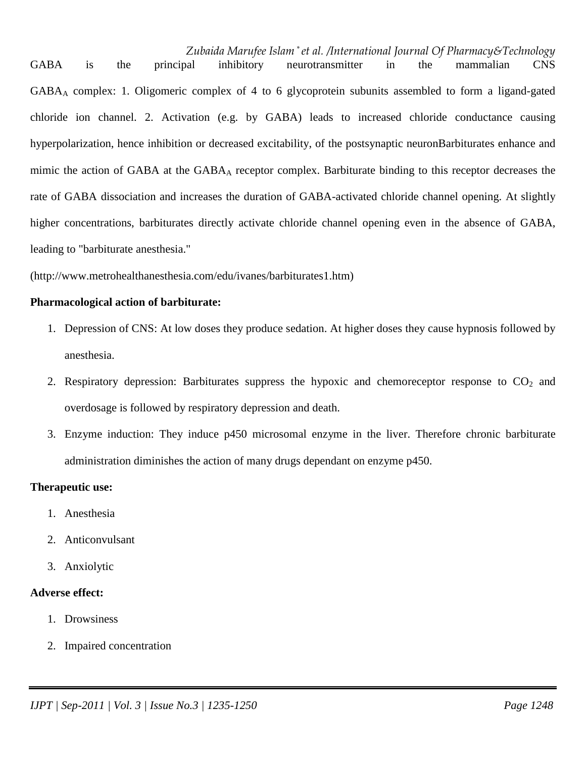GABA is the principal inhibitory neurotransmitter in the mammalian CNS GABAA complex: 1. Oligomeric complex of 4 to 6 glycoprotein subunits assembled to form a ligand-gated chloride ion channel. 2. Activation (e.g. by GABA) leads to increased chloride conductance causing hyperpolarization, hence inhibition or decreased excitability, of the postsynaptic neuronBarbiturates enhance and mimic the action of GABA at the  $GABA_A$  receptor complex. Barbiturate binding to this receptor decreases the rate of GABA dissociation and increases the duration of GABA-activated chloride channel opening. At slightly higher concentrations, barbiturates directly activate chloride channel opening even in the absence of GABA, leading to "barbiturate anesthesia."

(http://www.metrohealthanesthesia.com/edu/ivanes/barbiturates1.htm)

#### **Pharmacological action of barbiturate:**

- 1. Depression of CNS: At low doses they produce sedation. At higher doses they cause hypnosis followed by anesthesia.
- 2. Respiratory depression: Barbiturates suppress the hypoxic and chemoreceptor response to  $CO<sub>2</sub>$  and overdosage is followed by respiratory depression and death.
- 3. Enzyme induction: They induce p450 microsomal enzyme in the liver. Therefore chronic barbiturate administration diminishes the action of many drugs dependant on enzyme p450.

## **Therapeutic use:**

- 1. Anesthesia
- 2. Anticonvulsant
- 3. Anxiolytic

## **Adverse effect:**

- 1. Drowsiness
- 2. Impaired concentration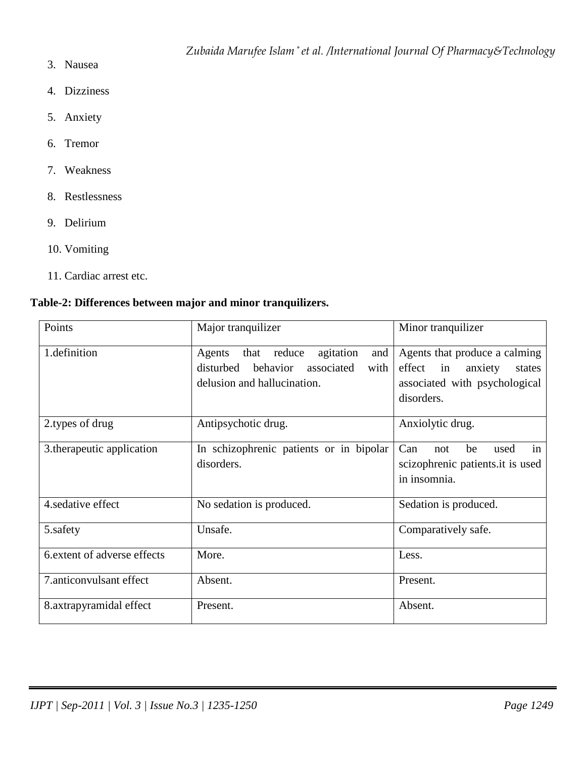- 3. Nausea
- 4. Dizziness
- 5. Anxiety
- 6. Tremor
- 7. Weakness
- 8. Restlessness
- 9. Delirium
- 10. Vomiting
- 11. Cardiac arrest etc.

# **Table-2: Differences between major and minor tranquilizers.**

| Points                             | Major tranquilizer                                                                                                         | Minor tranquilizer                                                                                             |  |
|------------------------------------|----------------------------------------------------------------------------------------------------------------------------|----------------------------------------------------------------------------------------------------------------|--|
| 1.definition                       | reduce<br>agitation<br>that<br>and<br>Agents<br>disturbed<br>behavior<br>associated<br>with<br>delusion and hallucination. | Agents that produce a calming<br>effect in<br>anxiety<br>states<br>associated with psychological<br>disorders. |  |
| 2.types of drug                    | Antipsychotic drug.                                                                                                        | Anxiolytic drug.                                                                                               |  |
| 3.therapeutic application          | In schizophrenic patients or in bipolar<br>disorders.                                                                      | Can<br>be<br>used<br>not<br>in<br>scizophrenic patients.it is used<br>in insomnia.                             |  |
| 4.sedative effect                  | No sedation is produced.                                                                                                   | Sedation is produced.                                                                                          |  |
| 5.safety                           | Unsafe.                                                                                                                    | Comparatively safe.                                                                                            |  |
| 6.extent of adverse effects        | More.                                                                                                                      | Less.                                                                                                          |  |
| 7.anticonvulsant effect<br>Absent. |                                                                                                                            | Present.                                                                                                       |  |
| 8.axtrapyramidal effect            | Present.                                                                                                                   | Absent.                                                                                                        |  |